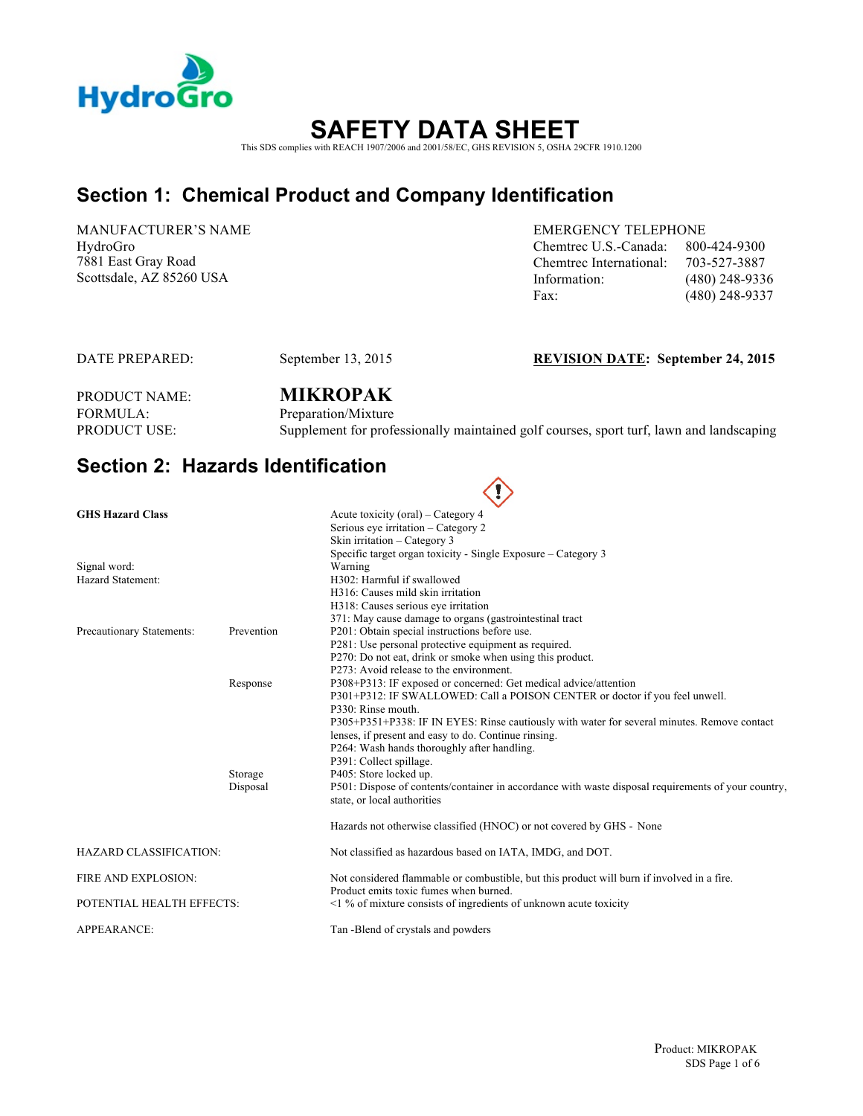

# **SAFETY DATA SHEET** This SDS complies with REACH 1907/2006 and 2001/58/EC, GHS REVISION 5, OSHA 29CFR 1910.1200

### **Section 1: Chemical Product and Company Identification**

MANUFACTURER'S NAME HydroGro 7881 East Gray Road

EMERGENCY TELEPHONE Chemtrec U.S.-Canada: 800-424-9300 Chemtrec International: 703-527-3887 Scottsdale, AZ 85260 USA Information: (480) 248-9336 Fax: (480) 248-9337

#### DATE PREPARED: September 13, 2015 **REVISION DATE: September 24, 2015**

# PRODUCT NAME: **MIKROPAK** FORMULA: Preparation/Mixture<br>PRODUCT USE: Supplement for profe

Supplement for professionally maintained golf courses, sport turf, lawn and landscaping

 $\curvearrowright$ 

### **Section 2: Hazards Identification**

|                               |            | $\langle \cdot \rangle$                                                                                                              |
|-------------------------------|------------|--------------------------------------------------------------------------------------------------------------------------------------|
| <b>GHS Hazard Class</b>       |            | Acute toxicity (oral) – Category 4                                                                                                   |
|                               |            | Serious eye irritation – Category 2                                                                                                  |
|                               |            | Skin irritation - Category 3                                                                                                         |
|                               |            | Specific target organ toxicity - Single Exposure - Category 3                                                                        |
| Signal word:                  |            | Warning                                                                                                                              |
| Hazard Statement:             |            | H302: Harmful if swallowed                                                                                                           |
|                               |            | H316: Causes mild skin irritation                                                                                                    |
|                               |            | H318: Causes serious eye irritation                                                                                                  |
| Precautionary Statements:     | Prevention | 371: May cause damage to organs (gastrointestinal tract<br>P201: Obtain special instructions before use.                             |
|                               |            | P281: Use personal protective equipment as required.                                                                                 |
|                               |            | P270: Do not eat, drink or smoke when using this product.                                                                            |
|                               |            | P273: Avoid release to the environment.                                                                                              |
|                               | Response   | P308+P313: IF exposed or concerned: Get medical advice/attention                                                                     |
|                               |            | P301+P312: IF SWALLOWED: Call a POISON CENTER or doctor if you feel unwell.                                                          |
|                               |            | P330: Rinse mouth.                                                                                                                   |
|                               |            | P305+P351+P338: IF IN EYES: Rinse cautiously with water for several minutes. Remove contact                                          |
|                               |            | lenses, if present and easy to do. Continue rinsing.                                                                                 |
|                               |            | P264: Wash hands thoroughly after handling.                                                                                          |
|                               |            | P391: Collect spillage.                                                                                                              |
|                               | Storage    | P405: Store locked up.                                                                                                               |
|                               | Disposal   | P501: Dispose of contents/container in accordance with waste disposal requirements of your country,                                  |
|                               |            | state, or local authorities                                                                                                          |
|                               |            | Hazards not otherwise classified (HNOC) or not covered by GHS - None                                                                 |
| <b>HAZARD CLASSIFICATION:</b> |            | Not classified as hazardous based on IATA, IMDG, and DOT.                                                                            |
| FIRE AND EXPLOSION:           |            | Not considered flammable or combustible, but this product will burn if involved in a fire.<br>Product emits toxic fumes when burned. |
| POTENTIAL HEALTH EFFECTS:     |            | $\leq$ 1 % of mixture consists of ingredients of unknown acute toxicity                                                              |
| <b>APPEARANCE:</b>            |            | Tan -Blend of crystals and powders                                                                                                   |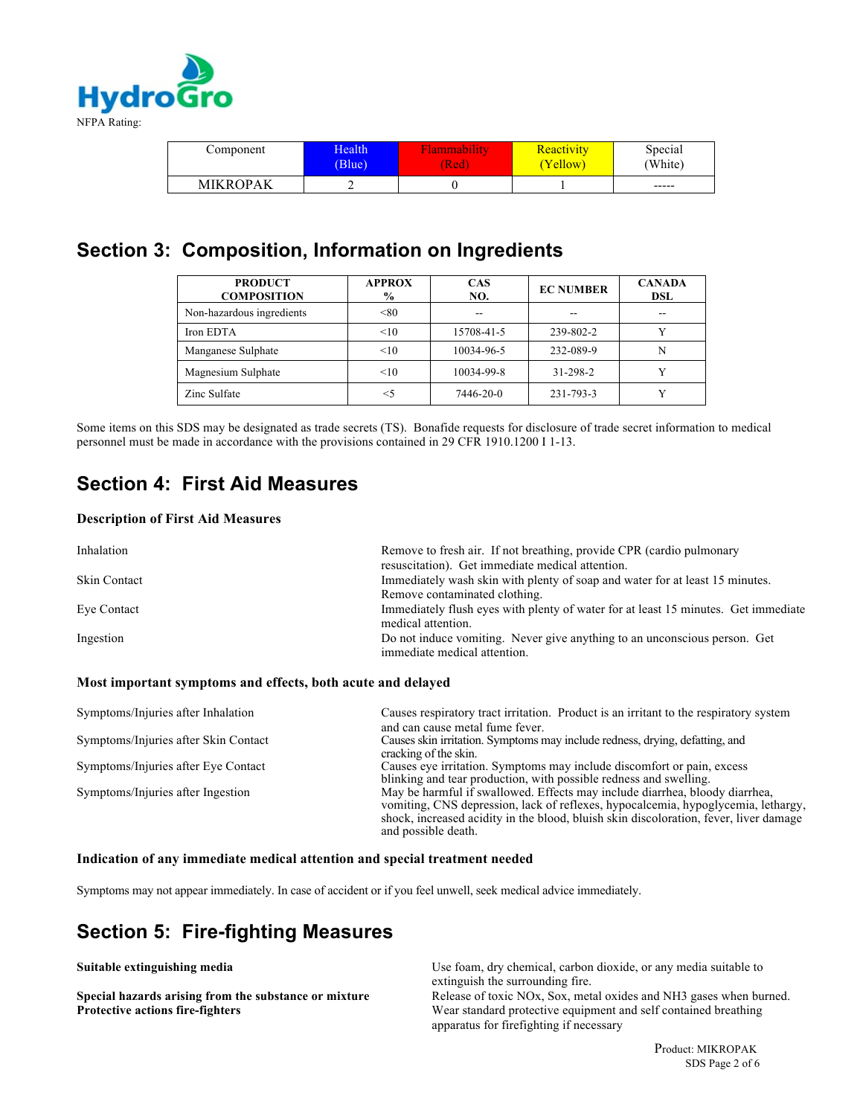

| Component       | Health | <i>Aammability</i> | Reactivity | Special |
|-----------------|--------|--------------------|------------|---------|
|                 | (Blue) | (Red               | (Yellow)   | 'White) |
| <b>MIKROPAK</b> | ∽      |                    |            | -----   |

### **Section 3: Composition, Information on Ingredients**

| <b>PRODUCT</b><br><b>COMPOSITION</b> | <b>APPROX</b><br>$\%$ | <b>CAS</b><br>NO. | <b>EC NUMBER</b> | <b>CANADA</b><br>DSL |
|--------------------------------------|-----------------------|-------------------|------------------|----------------------|
| Non-hazardous ingredients            | < 80                  |                   | --               |                      |
| Iron EDTA                            | <10                   | 15708-41-5        | 239-802-2        |                      |
| Manganese Sulphate                   | <10                   | 10034-96-5        | 232-089-9        |                      |
| Magnesium Sulphate                   | <10                   | 10034-99-8        | 31-298-2         |                      |
| Zinc Sulfate                         | $<$ 5                 | 7446-20-0         | 231-793-3        |                      |

Some items on this SDS may be designated as trade secrets (TS). Bonafide requests for disclosure of trade secret information to medical personnel must be made in accordance with the provisions contained in 29 CFR 1910.1200 I 1-13.

### **Section 4: First Aid Measures**

#### **Description of First Aid Measures**

| Inhalation          | Remove to fresh air. If not breathing, provide CPR (cardio pulmonary<br>resuscitation). Get immediate medical attention. |
|---------------------|--------------------------------------------------------------------------------------------------------------------------|
| <b>Skin Contact</b> | Immediately wash skin with plenty of soap and water for at least 15 minutes.                                             |
|                     | Remove contaminated clothing.                                                                                            |
| Eye Contact         | Immediately flush eyes with plenty of water for at least 15 minutes. Get immediate                                       |
|                     | medical attention.                                                                                                       |
| Ingestion           | Do not induce vomiting. Never give anything to an unconscious person. Get<br>immediate medical attention.                |

#### **Most important symptoms and effects, both acute and delayed**

| Symptoms/Injuries after Inhalation   | Causes respiratory tract irritation. Product is an irritant to the respiratory system<br>and can cause metal fume fever.                                                                                                                                                         |
|--------------------------------------|----------------------------------------------------------------------------------------------------------------------------------------------------------------------------------------------------------------------------------------------------------------------------------|
| Symptoms/Injuries after Skin Contact | Causes skin irritation. Symptoms may include redness, drying, defatting, and<br>cracking of the skin.                                                                                                                                                                            |
| Symptoms/Injuries after Eye Contact  | Causes eye irritation. Symptoms may include discomfort or pain, excess<br>blinking and tear production, with possible redness and swelling.                                                                                                                                      |
| Symptoms/Injuries after Ingestion    | May be harmful if swallowed. Effects may include diarrhea, bloody diarrhea,<br>vomiting, CNS depression, lack of reflexes, hypocalcemia, hypoglycemia, lethargy,<br>shock, increased acidity in the blood, bluish skin discoloration, fever, liver damage<br>and possible death. |

#### **Indication of any immediate medical attention and special treatment needed**

Symptoms may not appear immediately. In case of accident or if you feel unwell, seek medical advice immediately.

### **Section 5: Fire-fighting Measures**

**Suitable extinguishing media ISC Use foam, dry chemical, carbon dioxide, or any media suitable to Use foam, dry chemical, carbon dioxide, or any media suitable to** extinguish the surrounding fire.

**Special hazards arising from the substance or mixture** Release of toxic NOx, Sox, metal oxides and NH3 gases when burned. **Protective actions fire-fighters** Wear standard protective equipment and self contained breathing apparatus for firefighting if necessary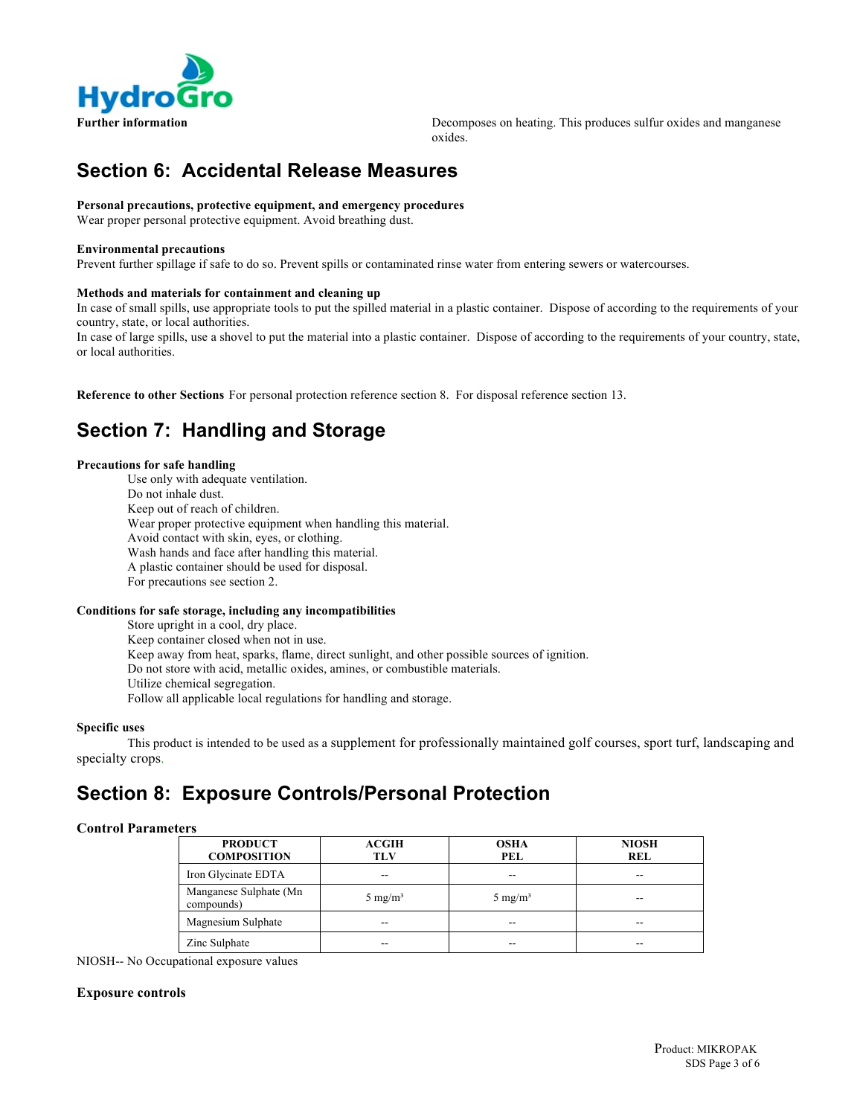

**Further information Exercise 2.1 A.1 States 2.1 A.1 States 2.1 A.1 States 2.1 Decomposes on heating. This produces sulfur oxides and manganese** oxides.

### **Section 6: Accidental Release Measures**

#### **Personal precautions, protective equipment, and emergency procedures**

Wear proper personal protective equipment. Avoid breathing dust.

#### **Environmental precautions**

Prevent further spillage if safe to do so. Prevent spills or contaminated rinse water from entering sewers or watercourses.

#### **Methods and materials for containment and cleaning up**

In case of small spills, use appropriate tools to put the spilled material in a plastic container. Dispose of according to the requirements of your country, state, or local authorities.

In case of large spills, use a shovel to put the material into a plastic container. Dispose of according to the requirements of your country, state, or local authorities.

**Reference to other Sections** For personal protection reference section 8. For disposal reference section 13.

### **Section 7: Handling and Storage**

#### **Precautions for safe handling**

Use only with adequate ventilation. Do not inhale dust. Keep out of reach of children. Wear proper protective equipment when handling this material. Avoid contact with skin, eyes, or clothing. Wash hands and face after handling this material. A plastic container should be used for disposal. For precautions see section 2.

#### **Conditions for safe storage, including any incompatibilities**

Store upright in a cool, dry place. Keep container closed when not in use. Keep away from heat, sparks, flame, direct sunlight, and other possible sources of ignition. Do not store with acid, metallic oxides, amines, or combustible materials. Utilize chemical segregation. Follow all applicable local regulations for handling and storage.

#### **Specific uses**

This product is intended to be used as a supplement for professionally maintained golf courses, sport turf, landscaping and specialty crops.

### **Section 8: Exposure Controls/Personal Protection**

#### **Control Parameters**

| <b>PRODUCT</b><br><b>COMPOSITION</b> | <b>ACGIH</b><br><b>TLV</b> | <b>OSHA</b><br>PEL | <b>NIOSH</b><br>REL |
|--------------------------------------|----------------------------|--------------------|---------------------|
| Iron Glycinate EDTA                  |                            | --                 | --                  |
| Manganese Sulphate (Mn<br>compounds) | 5 mg/m <sup>3</sup>        | 5 mg/ $m^3$        |                     |
| Magnesium Sulphate                   | --                         | --                 | --                  |
| Zinc Sulphate                        | --                         | --                 | --                  |

NIOSH-- No Occupational exposure values

#### **Exposure controls**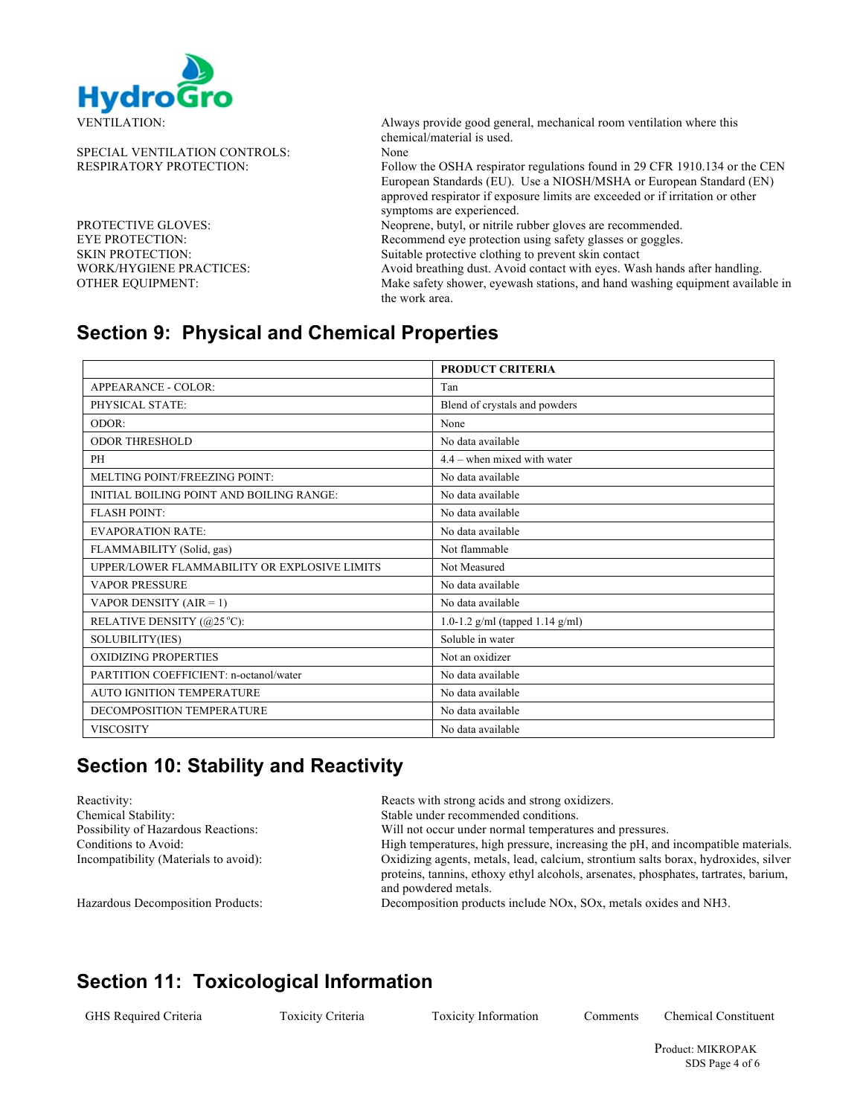

SPECIAL VENTILATION CONTROLS: None

EYE PROTECTION:<br>
Suitable protective clothing to prevent skin contact<br>
Suitable protective clothing to prevent skin contact

VENTILATION: Always provide good general, mechanical room ventilation where this chemical/material is used.

RESPIRATORY PROTECTION: Follow the OSHA respirator regulations found in 29 CFR 1910.134 or the CEN European Standards (EU). Use a NIOSH/MSHA or European Standard (EN) approved respirator if exposure limits are exceeded or if irritation or other symptoms are experienced.

PROTECTIVE GLOVES: Neoprene, butyl, or nitrile rubber gloves are recommended.

Suitable protective clothing to prevent skin contact

WORK/HYGIENE PRACTICES: Avoid breathing dust. Avoid contact with eyes. Wash hands after handling. OTHER EQUIPMENT: Make safety shower, eyewash stations, and hand washing equipment available in the work area.

### **Section 9: Physical and Chemical Properties**

|                                                     | <b>PRODUCT CRITERIA</b>           |
|-----------------------------------------------------|-----------------------------------|
| APPEARANCE - COLOR:                                 | Tan                               |
| PHYSICAL STATE:                                     | Blend of crystals and powders     |
| ODOR:                                               | None                              |
| <b>ODOR THRESHOLD</b>                               | No data available                 |
| <b>PH</b>                                           | $4.4$ – when mixed with water     |
| MELTING POINT/FREEZING POINT:                       | No data available                 |
| INITIAL BOILING POINT AND BOILING RANGE:            | No data available                 |
| <b>FLASH POINT:</b>                                 | No data available                 |
| <b>EVAPORATION RATE:</b>                            | No data available                 |
| FLAMMABILITY (Solid, gas)                           | Not flammable                     |
| <b>UPPER/LOWER FLAMMABILITY OR EXPLOSIVE LIMITS</b> | Not Measured                      |
| <b>VAPOR PRESSURE</b>                               | No data available                 |
| VAPOR DENSITY $(AIR = 1)$                           | No data available                 |
| RELATIVE DENSITY (@25 °C):                          | 1.0-1.2 g/ml (tapped $1.14$ g/ml) |
| SOLUBILITY(IES)                                     | Soluble in water                  |
| <b>OXIDIZING PROPERTIES</b>                         | Not an oxidizer                   |
| PARTITION COEFFICIENT: n-octanol/water              | No data available                 |
| <b>AUTO IGNITION TEMPERATURE</b>                    | No data available                 |
| DECOMPOSITION TEMPERATURE                           | No data available                 |
| <b>VISCOSITY</b>                                    | No data available                 |

# **Section 10: Stability and Reactivity**

Chemical Stability: Stable under recommended conditions.

Reactivity: Reacts with strong acids and strong oxidizers.

Possibility of Hazardous Reactions: Will not occur under normal temperatures and pressures.

Conditions to Avoid: High temperatures, high pressure, increasing the pH, and incompatible materials. Incompatibility (Materials to avoid): Oxidizing agents, metals, lead, calcium, strontium salts borax, hydroxides, silver proteins, tannins, ethoxy ethyl alcohols, arsenates, phosphates, tartrates, barium, and powdered metals.

Hazardous Decomposition Products: Decomposition products include NOx, SOx, metals oxides and NH3.

### **Section 11: Toxicological Information**

GHS Required Criteria Toxicity Criteria Toxicity Information Comments Chemical Constituent

 Product: MIKROPAK SDS Page 4 of 6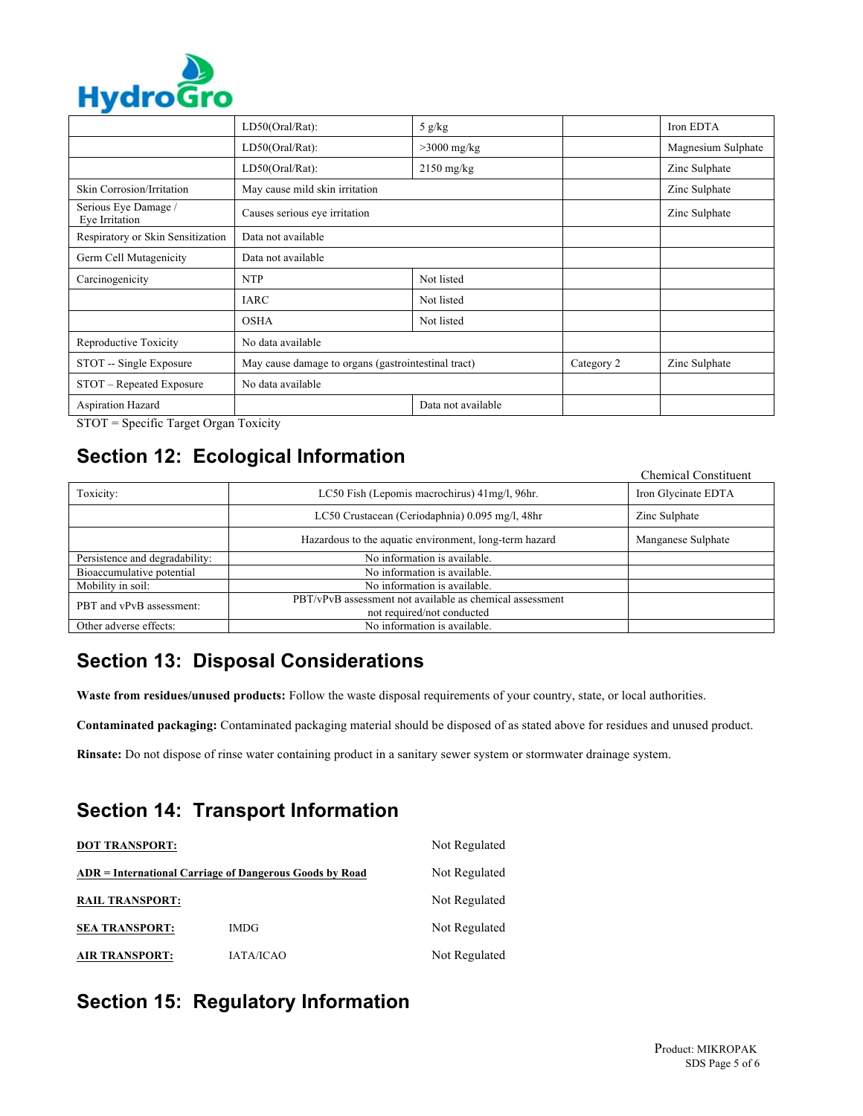

| .                                      |                                                     |                    |            |                    |
|----------------------------------------|-----------------------------------------------------|--------------------|------------|--------------------|
|                                        | LD50(Oral/Rat):                                     | 5 $g/kg$           |            | Iron EDTA          |
|                                        | LD50(Oral/Rat):                                     | $>3000$ mg/kg      |            | Magnesium Sulphate |
|                                        | LD50(Oral/Rat):                                     | $2150$ mg/kg       |            | Zinc Sulphate      |
| <b>Skin Corrosion/Irritation</b>       | May cause mild skin irritation                      |                    |            | Zinc Sulphate      |
| Serious Eye Damage /<br>Eye Irritation | Causes serious eye irritation                       |                    |            | Zinc Sulphate      |
| Respiratory or Skin Sensitization      | Data not available                                  |                    |            |                    |
| Germ Cell Mutagenicity                 | Data not available                                  |                    |            |                    |
| Carcinogenicity                        | <b>NTP</b>                                          | Not listed         |            |                    |
|                                        | <b>IARC</b>                                         | Not listed         |            |                    |
|                                        | <b>OSHA</b>                                         | Not listed         |            |                    |
| Reproductive Toxicity                  | No data available                                   |                    |            |                    |
| STOT -- Single Exposure                | May cause damage to organs (gastrointestinal tract) |                    | Category 2 | Zinc Sulphate      |
| STOT - Repeated Exposure               | No data available                                   |                    |            |                    |
| Aspiration Hazard                      |                                                     | Data not available |            |                    |

STOT = Specific Target Organ Toxicity

### **Section 12: Ecological Information**

|                                |                                                          | <b>Chemical Constituent</b> |
|--------------------------------|----------------------------------------------------------|-----------------------------|
| Toxicity:                      | LC50 Fish (Lepomis macrochirus) 41 mg/l, 96 hr.          | Iron Glycinate EDTA         |
|                                | LC50 Crustacean (Ceriodaphnia) 0.095 mg/l, 48hr          | Zinc Sulphate               |
|                                | Hazardous to the aquatic environment, long-term hazard   | Manganese Sulphate          |
| Persistence and degradability: | No information is available.                             |                             |
| Bioaccumulative potential      | No information is available.                             |                             |
| Mobility in soil:              | No information is available.                             |                             |
| PBT and vPvB assessment:       | PBT/vPvB assessment not available as chemical assessment |                             |
|                                | not required/not conducted                               |                             |
| Other adverse effects:         | No information is available.                             |                             |

# **Section 13: Disposal Considerations**

**Waste from residues/unused products:** Follow the waste disposal requirements of your country, state, or local authorities.

**Contaminated packaging:** Contaminated packaging material should be disposed of as stated above for residues and unused product.

**Rinsate:** Do not dispose of rinse water containing product in a sanitary sewer system or stormwater drainage system.

# **Section 14: Transport Information**

| <b>DOT TRANSPORT:</b>  |                                                         | Not Regulated |  |
|------------------------|---------------------------------------------------------|---------------|--|
|                        | ADR = International Carriage of Dangerous Goods by Road | Not Regulated |  |
| <b>RAIL TRANSPORT:</b> |                                                         | Not Regulated |  |
| <b>SEA TRANSPORT:</b>  | <b>IMDG</b>                                             | Not Regulated |  |
| <b>AIR TRANSPORT:</b>  | <b>IATA/ICAO</b>                                        | Not Regulated |  |

# **Section 15: Regulatory Information**